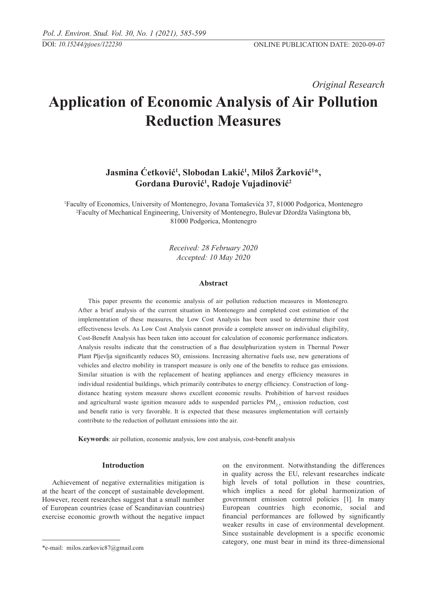*Original Research* 

# **Application of Economic Analysis of Air Pollution Reduction Measures**

## **Jasmina Ćetković<sup>1</sup> , Slobodan Lakić<sup>1</sup> , Miloš Žarković<sup>1</sup> \*, Gordana Đurović<sup>1</sup> , Radoje Vujadinović<sup>2</sup>**

1 Faculty of Economics, University of Montenegro, Jovana Tomaševića 37, 81000 Podgorica, Montenegro 2 Faculty of Mechanical Engineering, University of Montenegro, Bulevar Džordža Vašingtona bb, 81000 Podgorica, Montenegro

> *Received: 28 February 2020 Accepted: 10 May 2020*

#### **Abstract**

This paper presents the economic analysis of air pollution reduction measures in Montenegro. After a brief analysis of the current situation in Montenegro and completed cost estimation of the implementation of these measures, the Low Cost Analysis has been used to determine their cost effectiveness levels. As Low Cost Analysis cannot provide a complete answer on individual eligibility, Cost-Benefit Analysis has been taken into account for calculation of economic performance indicators. Analysis results indicate that the construction of a flue desulphurization system in Thermal Power Plant Pljevlja significantly reduces  $SO_2$  emissions. Increasing alternative fuels use, new generations of vehicles and electro mobility in transport measure is only one of the benefits to reduce gas emissions. Similar situation is with the replacement of heating appliances and energy efficiency measures in individual residential buildings, which primarily contributes to energy efficiency. Construction of longdistance heating system measure shows excellent economic results. Prohibition of harvest residues and agricultural waste ignition measure adds to suspended particles  $PM_{2,5}$  emission reduction, cost and benefit ratio is very favorable. It is expected that these measures implementation will certainly contribute to the reduction of pollutant emissions into the air.

**Keywords**: air pollution, economic analysis, low cost analysis, cost-benefit analysis

## **Introduction**

Achievement of negative externalities mitigation is at the heart of the concept of sustainable development. However, recent researches suggest that a small number of European countries (case of Scandinavian countries) exercise economic growth without the negative impact on the environment. Notwithstanding the differences in quality across the EU, relevant researches indicate high levels of total pollution in these countries, which implies a need for global harmonization of government emission control policies [1]. In many European countries high economic, social and financial performances are followed by significantly weaker results in case of environmental development. Since sustainable development is a specific economic category, one must bear in mind its three-dimensional

<sup>\*</sup>e-mail: milos.zarkovic87@gmail.com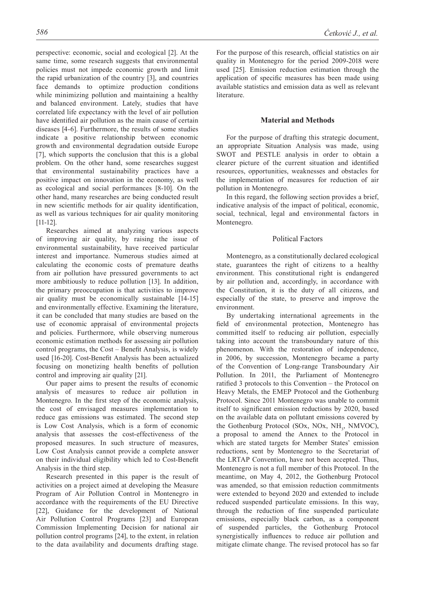perspective: economic, social and ecological [2]. At the same time, some research suggests that environmental policies must not impede economic growth and limit the rapid urbanization of the country [3], and countries face demands to optimize production conditions while minimizing pollution and maintaining a healthy and balanced environment. Lately, studies that have correlated life expectancy with the level of air pollution have identified air pollution as the main cause of certain diseases [4-6]. Furthermore, the results of some studies indicate a positive relationship between economic growth and environmental degradation outside Europe [7], which supports the conclusion that this is a global problem. On the other hand, some researches suggest that environmental sustainability practices have a positive impact on innovation in the economy, as well as ecological and social performances [8-10]. On the other hand, many researches are being conducted result in new scientific methods for air quality identification, as well as various techniques for air quality monitoring [11-12].

Researches aimed at analyzing various aspects of improving air quality, by raising the issue of environmental sustainability, have received particular interest and importance. Numerous studies aimed at calculating the economic costs of premature deaths from air pollution have pressured governments to act more ambitiously to reduce pollution [13]. In addition, the primary preoccupation is that activities to improve air quality must be economically sustainable [14-15] and environmentally effective. Examining the literature, it can be concluded that many studies are based on the use of economic appraisal of environmental projects and policies. Furthermore, while observing numerous economic estimation methods for assessing air pollution control programs, the Cost – Benefit Analysis, is widely used [16-20]. Cost-Benefit Analysis has been actualized focusing on monetizing health benefits of pollution control and improving air quality [21].

Our paper aims to present the results of economic analysis of measures to reduce air pollution in Montenegro. In the first step of the economic analysis, the cost of envisaged measures implementation to reduce gas emissions was estimated. The second step is Low Cost Analysis, which is a form of economic analysis that assesses the cost-effectiveness of the proposed measures. In such structure of measures, Low Cost Analysis cannot provide a complete answer on their individual eligibility which led to Cost-Benefit Analysis in the third step.

Research presented in this paper is the result of activities on a project aimed at developing the Measure Program of Air Pollution Control in Montenegro in accordance with the requirements of the EU Directive [22], Guidance for the development of National Air Pollution Control Programs [23] and European Commission Implementing Decision for national air pollution control programs [24], to the extent, in relation to the data availability and documents drafting stage.

For the purpose of this research, official statistics on air quality in Montenegro for the period 2009-2018 were used [25]. Emission reduction estimation through the application of specific measures has been made using available statistics and emission data as well as relevant literature.

#### **Material and Methods**

For the purpose of drafting this strategic document, an appropriate Situation Analysis was made, using SWOT and PESTLE analysis in order to obtain a clearer picture of the current situation and identified resources, opportunities, weaknesses and obstacles for the implementation of measures for reduction of air pollution in Montenegro.

In this regard, the following section provides a brief, indicative analysis of the impact of political, economic, social, technical, legal and environmental factors in Montenegro.

#### Political Factors

Montenegro, as a constitutionally declared ecological state, guarantees the right of citizens to a healthy environment. This constitutional right is endangered by air pollution and, accordingly, in accordance with the Constitution, it is the duty of all citizens, and especially of the state, to preserve and improve the environment.

By undertaking international agreements in the field of environmental protection, Montenegro has committed itself to reducing air pollution, especially taking into account the transboundary nature of this phenomenon. With the restoration of independence, in 2006, by succession, Montenegro became a party of the Convention of Long-range Transboundary Air Pollution. In 2011, the Parliament of Montenegro ratified 3 protocols to this Convention – the Protocol on Heavy Metals, the EMEP Protocol and the Gothenburg Protocol. Since 2011 Montenegro was unable to commit itself to significant emission reductions by 2020, based on the available data on pollutant emissions covered by the Gothenburg Protocol (SOx, NOx, NH<sub>3</sub>, NMVOC), a proposal to amend the Annex to the Protocol in which are stated targets for Member States' emission reductions, sent by Montenegro to the Secretariat of the LRTAP Convention, have not been accepted. Thus, Montenegro is not a full member of this Protocol. In the meantime, on May 4, 2012, the Gothenburg Protocol was amended, so that emission reduction commitments were extended to beyond 2020 and extended to include reduced suspended particulate emissions. In this way, through the reduction of fine suspended particulate emissions, especially black carbon, as a component of suspended particles, the Gothenburg Protocol synergistically influences to reduce air pollution and mitigate climate change. The revised protocol has so far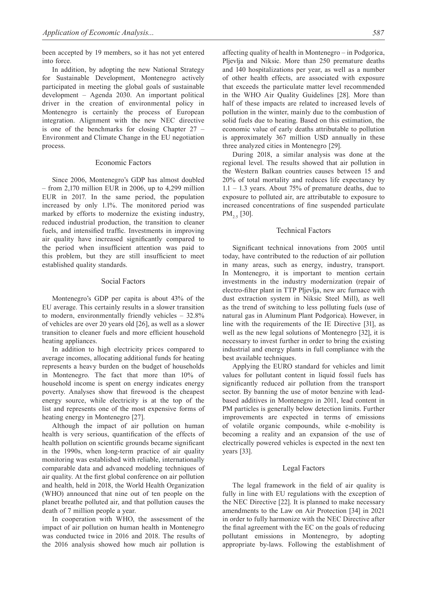been accepted by 19 members, so it has not yet entered into force.

In addition, by adopting the new National Strategy for Sustainable Development, Montenegro actively participated in meeting the global goals of sustainable development – Agenda 2030. An important political driver in the creation of environmental policy in Montenegro is certainly the process of European integration. Alignment with the new NEC directive is one of the benchmarks for closing Chapter 27 – Environment and Climate Change in the EU negotiation process.

#### Economic Factors

Since 2006, Montenegro's GDP has almost doubled – from 2,170 million EUR in 2006, up to 4,299 million EUR in 2017. In the same period, the population increased by only 1.1%. The monitored period was marked by efforts to modernize the existing industry, reduced industrial production, the transition to cleaner fuels, and intensified traffic. Investments in improving air quality have increased significantly compared to the period when insufficient attention was paid to this problem, but they are still insufficient to meet established quality standards.

## Social Factors

Montenegro's GDP per capita is about 43% of the EU average. This certainly results in a slower transition to modern, environmentally friendly vehicles – 32.8% of vehicles are over 20 years old [26], as well as a slower transition to cleaner fuels and more efficient household heating appliances.

In addition to high electricity prices compared to average incomes, allocating additional funds for heating represents a heavy burden on the budget of households in Montenegro. The fact that more than 10% of household income is spent on energy indicates energy poverty. Analyses show that firewood is the cheapest energy source, while electricity is at the top of the list and represents one of the most expensive forms of heating energy in Montenegro [27].

Although the impact of air pollution on human health is very serious, quantification of the effects of health pollution on scientific grounds became significant in the 1990s, when long-term practice of air quality monitoring was established with reliable, internationally comparable data and advanced modeling techniques of air quality. At the first global conference on air pollution and health, held in 2018, the World Health Organization (WHO) announced that nine out of ten people on the planet breathe polluted air, and that pollution causes the death of 7 million people a year.

In cooperation with WHO, the assessment of the impact of air pollution on human health in Montenegro was conducted twice in 2016 and 2018. The results of the 2016 analysis showed how much air pollution is affecting quality of health in Montenegro – in Podgorica, Pljevlja and Niksic. More than 250 premature deaths and 140 hospitalizations per year, as well as a number of other health effects, are associated with exposure that exceeds the particulate matter level recommended in the WHO Air Quality Guidelines [28]. More than half of these impacts are related to increased levels of pollution in the winter, mainly due to the combustion of solid fuels due to heating. Based on this estimation, the economic value of early deaths attributable to pollution is approximately 367 million USD annually in these three analyzed cities in Montenegro [29].

During 2018, a similar analysis was done at the regional level. The results showed that air pollution in the Western Balkan countries causes between 15 and 20% of total mortality and reduces life expectancy by  $1.1 - 1.3$  years. About 75% of premature deaths, due to exposure to polluted air, are attributable to exposure to increased concentrations of fine suspended particulate  $PM_{2.5}$  [30].

#### Technical Factors

Significant technical innovations from 2005 until today, have contributed to the reduction of air pollution in many areas, such as energy, industry, transport. In Montenegro, it is important to mention certain investments in the industry modernization (repair of electro-filter plant in TTP Pljevlja, new arc furnace with dust extraction system in Niksic Steel Mill), as well as the trend of switching to less polluting fuels (use of natural gas in Aluminum Plant Podgorica). However, in line with the requirements of the IE Directive [31], as well as the new legal solutions of Montenegro [32], it is necessary to invest further in order to bring the existing industrial and energy plants in full compliance with the best available techniques.

Applying the EURO standard for vehicles and limit values for pollutant content in liquid fossil fuels has significantly reduced air pollution from the transport sector. By banning the use of motor benzine with leadbased additives in Montenegro in 2011, lead content in PM particles is generally below detection limits. Further improvements are expected in terms of emissions of volatile organic compounds, while e-mobility is becoming a reality and an expansion of the use of electrically powered vehicles is expected in the next ten years [33].

#### Legal Factors

The legal framework in the field of air quality is fully in line with EU regulations with the exception of the NEC Directive [22]. It is planned to make necessary amendments to the Law on Air Protection [34] in 2021 in order to fully harmonize with the NEC Directive after the final agreement with the EC on the goals of reducing pollutant emissions in Montenegro, by adopting appropriate by-laws. Following the establishment of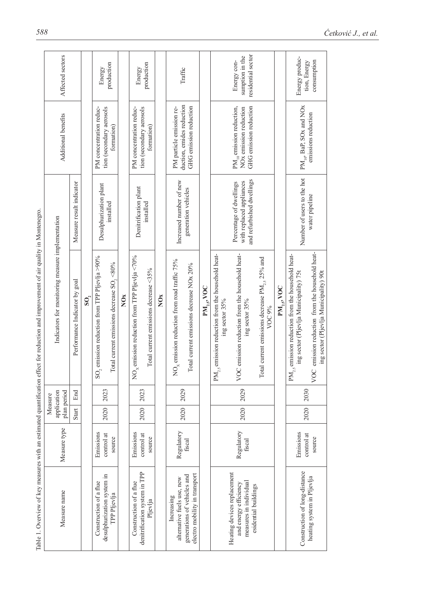| ì                                                    |
|------------------------------------------------------|
|                                                      |
|                                                      |
|                                                      |
| l                                                    |
|                                                      |
| l                                                    |
| ì<br>Í<br>į                                          |
| 3<br>l                                               |
| ï                                                    |
|                                                      |
| I                                                    |
| j<br>ś                                               |
| j                                                    |
|                                                      |
| i<br>l                                               |
|                                                      |
|                                                      |
| ı<br>֖֖֖֖֧ׅ֧ׅ֖֚֚֚֚֚֚֚֚֚֚֚֚֚֚֚֚֚֚֚֚֚֚֚֚֚֚֚֚֡֬֝֝֬      |
|                                                      |
| ׇ֘֒                                                  |
| Í<br>ׇ֚֬֡                                            |
|                                                      |
| į                                                    |
|                                                      |
| ł                                                    |
|                                                      |
|                                                      |
| ۱                                                    |
| ì<br>۱                                               |
|                                                      |
|                                                      |
|                                                      |
|                                                      |
| ¢                                                    |
|                                                      |
| へいいい                                                 |
|                                                      |
|                                                      |
|                                                      |
| in and                                               |
|                                                      |
| ¢                                                    |
|                                                      |
|                                                      |
|                                                      |
|                                                      |
| ï                                                    |
|                                                      |
|                                                      |
| í                                                    |
|                                                      |
|                                                      |
| i<br>֖֖֖֖֖֧֖ׅ֪ׅ֖֧ׅ֚֚֚֚֚֚֚֚֚֚֚֚֚֚֚֚֚֚֚֚֚֚֚֚֚֚֚֬֝֝֝֝֬֓ |
| í                                                    |
|                                                      |
|                                                      |
| Ĭ<br>l                                               |
|                                                      |
| $\ddotsc$                                            |
| Ó                                                    |
|                                                      |
| $\frac{1}{2}$                                        |
|                                                      |

|                                                                                                                                       | Affected sectors                                 |                               |                                 | Energy                                                         | production                               |                 | Energy                                                    | production                                |                 | Traffic                                               |                                                              |                  |                                                                          | residential sector<br>sumption in the<br>Energy con-                                                   |                                                               |                  | Energy produc-                                                                                  | consumption<br>tion, Energy                                                                  |
|---------------------------------------------------------------------------------------------------------------------------------------|--------------------------------------------------|-------------------------------|---------------------------------|----------------------------------------------------------------|------------------------------------------|-----------------|-----------------------------------------------------------|-------------------------------------------|-----------------|-------------------------------------------------------|--------------------------------------------------------------|------------------|--------------------------------------------------------------------------|--------------------------------------------------------------------------------------------------------|---------------------------------------------------------------|------------------|-------------------------------------------------------------------------------------------------|----------------------------------------------------------------------------------------------|
|                                                                                                                                       | Additional benefits                              |                               |                                 | PM concentration reduc-<br>tion (secondary aerosols            | formation)                               |                 | PM concentration reduc-                                   | tion (secondary aerosols<br>formation)    |                 | duction, emides reduction<br>PM particle emission re- | GHG emission reduction                                       |                  |                                                                          | $PM_{10}$ emission reduction,<br>GHG emission reduction<br>NO <sub>x</sub> emission reduction          |                                                               |                  | $PM_{10}$ , BaP, SOx and NOx                                                                    | emissions reduction                                                                          |
|                                                                                                                                       |                                                  | Measure result indicator      |                                 | Desulphurization plant                                         | installed                                |                 | Denitrification plant                                     | installed                                 |                 | Increased number of new                               | generation vehicles                                          |                  |                                                                          | and refurbished dwellings<br>with replaced appliances<br>Percentage of dwellings                       |                                                               |                  | Number of users to the hot                                                                      | water pipeline                                                                               |
| Table 1. Overview of key measures with an estimated quantification effect for reduction and improvement of air quality in Montenegro. | Indicators for monitoring measure implementation | Performance Indicator by goal | $\mathbf{S}$ O $\mathbf{O}_{i}$ | emission reduction from TPP Pljevlja >90%<br>$\mathrm{SO}_{2}$ | otal current emissions decrease SO, <80% | NO <sub>x</sub> | $_{\rm x}$ emission reduction from TPP Pljevlja <70%<br>g | Total current emissions decrease <35%     | NO <sub>x</sub> | $NO_x$ emission reduction from road traffic 75%       | Total current emissions decrease NOx 20%                     | $PM_{2.5}$ , VOC | $PM_{2.5}$ emission reduction from the household heat-<br>ing sector 35% | Cemission reduction from the household heat-<br>ing sector 35%<br>$\breve{\sim}$                       | Total current emissions decrease $PM_{2.5}$ 25% and<br>VOC 9% | $PM_{2.5}$ , VOC | $PM_{2s}$ emission reduction from the household heat-<br>ing sector (Pljevlja Municipality) 75t | emission reduction from the household heat-<br>ing sector (Pljevlja Municipality) 90t<br>VOC |
|                                                                                                                                       | plan period<br>application<br>Measure            | End                           |                                 | 2023                                                           |                                          |                 | 2023                                                      |                                           |                 | 2029                                                  |                                                              |                  |                                                                          | 2029                                                                                                   |                                                               |                  | 2030                                                                                            |                                                                                              |
|                                                                                                                                       |                                                  | Start                         |                                 | 2020                                                           |                                          |                 | 2020                                                      |                                           |                 | 2020                                                  |                                                              |                  |                                                                          | 2020                                                                                                   |                                                               |                  | 2020                                                                                            |                                                                                              |
|                                                                                                                                       | Measure type                                     |                               |                                 | Emissions<br>control at                                        | source                                   |                 | Emissions                                                 | control at<br>source                      |                 | Regulatory                                            | fiscal                                                       |                  |                                                                          | Regulatory<br>fiscal                                                                                   |                                                               |                  | Emissions                                                                                       | control at<br>source                                                                         |
|                                                                                                                                       | Measure name                                     |                               |                                 | desulphurization system in<br>Construction of a flue           | TPP Pljevlja                             |                 | Construction of a flue                                    | denitrification system in TPP<br>Pljevlja |                 | alternative fuels use, new<br>Increasing              | electro mobility in transport<br>generations of vehicles and |                  |                                                                          | Heating devices replacement<br>measures in individual<br>and energy efficiency<br>esidential buildings |                                                               |                  | Construction of long-distance                                                                   | heating system in Pljevlja                                                                   |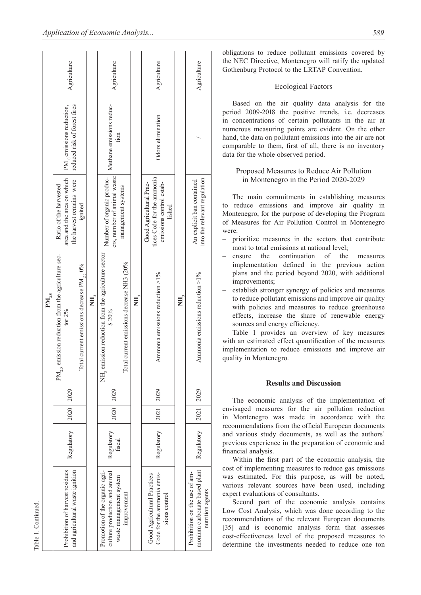|                                                                                   |                      |             | $PM_{25}$                                                               |                                                                                             |                                                                |             |
|-----------------------------------------------------------------------------------|----------------------|-------------|-------------------------------------------------------------------------|---------------------------------------------------------------------------------------------|----------------------------------------------------------------|-------------|
| Prohibition of harvest residues<br>and agricultural waste ignition                | Regulatory           | 2020 2029   | $PM_{2,5}$ emission reduction from the agriculture sec-<br>tor $2\%$    | area and the area on which<br>the harvest remains were<br>Ratio of the harvested            | reduced risk of forest fires<br>$PM_{10}$ emissions reduction, | Agriculture |
|                                                                                   |                      |             | Total current emissions decrease PM, 0%                                 | ignited                                                                                     |                                                                |             |
|                                                                                   |                      |             | E,                                                                      |                                                                                             |                                                                |             |
| Promotion of the organic agri-<br>culture production and animal                   | Regulatory<br>fiscal | 2020 2029   | NH <sub>3</sub> emission reduction from the agriculture sector<br>\$20% | Number of organic produc-<br>ers, number of animal waste                                    | Methane emissions reduc-                                       | Agriculture |
| waste management system<br>improvement                                            |                      |             | current emissions decrease NH3 (20%<br>Total                            | management systems                                                                          | tion                                                           |             |
|                                                                                   |                      |             | ΝH,                                                                     |                                                                                             |                                                                |             |
| Code for the ammonia emis-<br>Good Agricultural Practices<br>sions control        | Regulatory           | 2021 2029   | Ammonia emissions reduction $>1\%$                                      | tices Code for the ammonia<br>Good Agricultural Prac-<br>emissions control estab-<br>lished | Odors elimination                                              | Agriculture |
|                                                                                   |                      |             | ΧH,                                                                     |                                                                                             |                                                                |             |
| monium carbonate based plant<br>Prohibition on the use of am-<br>nutrition agents | Regulatory           | 2021   2029 | Ammonia emissions reduction $>1\%$                                      | into the relevant regulation<br>An explicit ban contained                                   |                                                                | Agriculture |
|                                                                                   |                      |             |                                                                         |                                                                                             |                                                                |             |

obligations to reduce pollutant emissions covered by the NEC Directive, Montenegro will ratify the updated Gothenburg Protocol to the LRTAP Convention.

#### Ecological Factors

Based on the air quality data analysis for the period 2009-2018 the positive trends, i.e. decreases in concentrations of certain pollutants in the air at numerous measuring points are evident. On the other hand, the data on pollutant emissions into the air are not comparable to them, first of all, there is no inventory data for the whole observed period.

## Proposed Measures to Reduce Air Pollution in Montenegro in the Period 2020-2029

The main commitments in establishing measures to reduce emissions and improve air quality in Montenegro, for the purpose of developing the Program of Measures for Air Pollution Control in Montenegro were:

- prioritize measures in the sectors that contribute most to total emissions at national level;
- ensure the continuation of the measures implementation defined in the previous action plans and the period beyond 2020, with additional improvements;
- establish stronger synergy of policies and measures to reduce pollutant emissions and improve air quality with policies and measures to reduce greenhouse effects, increase the share of renewable energy sources and energy efficiency.

Table 1 provides an overview of key measures with an estimated effect quantification of the measures implementation to reduce emissions and improve air quality in Montenegro.

## **Results and Discussion**

The economic analysis of the implementation of envisaged measures for the air pollution reduction in Montenegro was made in accordance with the recommendations from the official European documents and various study documents, as well as the authors' previous experience in the preparation of economic and financial analysis.

Within the first part of the economic analysis, the cost of implementing measures to reduce gas emissions was estimated. For this purpose, as will be noted, various relevant sources have been used, including expert evaluations of consultants.

Second part of the economic analysis contains Low Cost Analysis, which was done according to the recommendations of the relevant European documents [35] and is economic analysis form that assesses cost-effectiveness level of the proposed measures to determine the investments needed to reduce one ton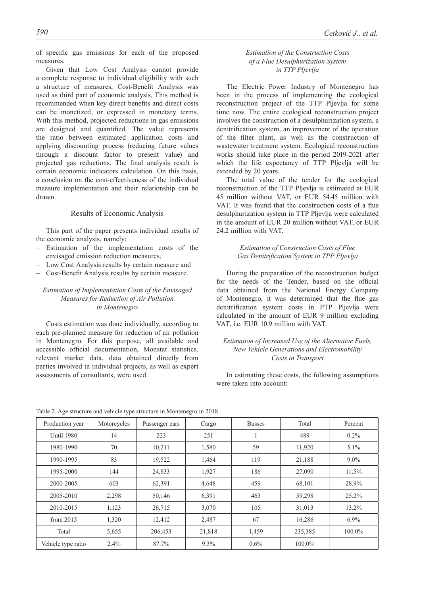of specific gas emissions for each of the proposed measures.

Given that Low Cost Analysis cannot provide a complete response to individual eligibility with such a structure of measures, Cost-Benefit Analysis was used as third part of economic analysis. This method is recommended when key direct benefits and direct costs can be monetized, or expressed in monetary terms. With this method, projected reductions in gas emissions are designed and quantified. The value represents the ratio between estimated application costs and applying discounting process (reducing future values through a discount factor to present value) and projected gas reductions. The final analysis result is certain economic indicators calculation. On this basis, a conclusion on the cost-effectiveness of the individual measure implementation and their relationship can be drawn.

#### Results of Economic Analysis

This part of the paper presents individual results of the economic analysis, namely:

- Estimation of the implementation costs of the envisaged emission reduction measures,
- Low Cost Analysis results by certain measure and
- Cost-Benefit Analysis results by certain measure.

## *Estimation of Implementation Costs of the Envisaged Measures for Reduction of Air Pollution in Montenegro*

Costs estimation was done individually, according to each pre-planned measure for reduction of air pollution in Montenegro. For this purpose, all available and accessible official documentation, Monstat statistics, relevant market data, data obtained directly from parties involved in individual projects, as well as expert assessments of consultants, were used.

## *Estimation of the Construction Costs of a Flue Desulphurization System in TTP Pljevlja*

The Electric Power Industry of Montenegro has been in the process of implementing the ecological reconstruction project of the TTP Pljevlja for some time now. The entire ecological reconstruction project involves the construction of a desulphurization system, a denitrification system, an improvement of the operation of the filter plant, as well as the construction of wastewater treatment system. Ecological reconstruction works should take place in the period 2019-2021 after which the life expectancy of TTP Pljevlja will be extended by 20 years.

The total value of the tender for the ecological reconstruction of the TTP Pljevlja is estimated at EUR 45 million without VAT, or EUR 54.45 million with VAT. It was found that the construction costs of a flue desulphurization system in TTP Pljevlja were calculated in the amount of EUR 20 million without VAT, or EUR 24.2 million with VAT.

#### *Estimation of Construction Costs of Flue Gas Denitrification System in TPP Pljevlja*

During the preparation of the reconstruction budget for the needs of the Tender, based on the official data obtained from the National Energy Company of Montenegro, it was determined that the flue gas denitrification system costs in PTP Pljevlja were calculated in the amount of EUR 9 million excluding VAT, i.e. EUR 10.9 million with VAT.

## *Estimation of Increased Use of the Alternative Fuels, New Vehicle Generations and Electromobility Costs in Transport*

In estimating these costs, the following assumptions were taken into account:

| Production year    | Motorcycles | Passenger cars | Cargo   | <b>Busses</b> | Total   | Percent   |
|--------------------|-------------|----------------|---------|---------------|---------|-----------|
| <b>Until 1980</b>  | 14          | 223            | 251     |               | 489     | $0.2\%$   |
| 1980-1990          | 70          | 10,211         | 1,580   | 59            | 11,920  | $5.1\%$   |
| 1990-1995          | 83          | 19,522         | 1,464   | 119           | 21,188  | $9.0\%$   |
| 1995-2000          | 144         | 24,833         | 1,927   | 186           | 27,090  | 11.5%     |
| 2000-2005          | 603         | 62,391         | 4,648   | 459           | 68,101  | 28.9%     |
| 2005-2010          | 2,298       | 50,146         | 6,391   | 463           | 59,298  | 25.2%     |
| 2010-2015          | 1,123       | 26,715         | 3,070   | 105           | 31,013  | 13.2%     |
| from $2015$        | 1,320       | 12,412         | 2,487   | 67            | 16,286  | $6.9\%$   |
| Total              | 5,655       | 206,453        | 21,818  | 1,459         | 235,385 | $100.0\%$ |
| Vehicle type ratio | 2.4%        | 87.7%          | $9.3\%$ | $0.6\%$       | 100.0%  |           |

Table 2. Age structure and vehicle type structure in Montenegro in 2018.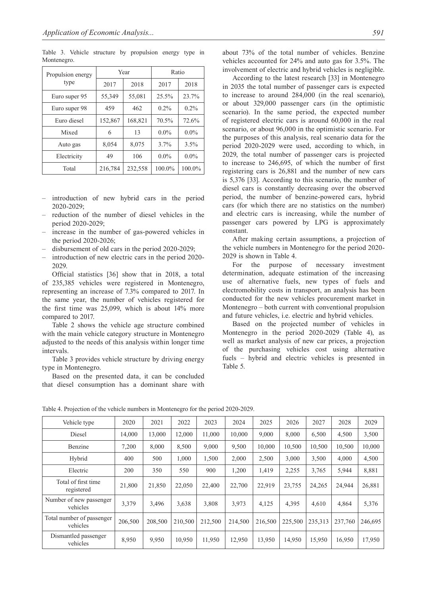Table 3. Vehicle structure by propulsion energy type in Montenegro.

| Propulsion energy |         | Year    | Ratio   |         |
|-------------------|---------|---------|---------|---------|
| type              | 2017    | 2018    | 2017    | 2018    |
| Euro super 95     | 55,349  | 55,081  | 25.5%   | 23.7%   |
| Euro super 98     | 459     | 462     | 0.2%    | $0.2\%$ |
| Euro diesel       | 152,867 | 168,821 | 70.5%   | 72.6%   |
| Mixed             | 6       | 13      | $0.0\%$ | $0.0\%$ |
| Auto gas          | 8,054   | 8,075   | 3.7%    | 3.5%    |
| Electricity       | 49      | 106     | $0.0\%$ | $0.0\%$ |
| Total             | 216,784 | 232,558 | 100.0%  | 100.0%  |

- introduction of new hybrid cars in the period 2020-2029;
- reduction of the number of diesel vehicles in the period 2020-2029;
- increase in the number of gas-powered vehicles in the period 2020-2026;
- disbursement of old cars in the period 2020-2029;
- introduction of new electric cars in the period 2020- 2029.

Official statistics [36] show that in 2018, a total of 235,385 vehicles were registered in Montenegro, representing an increase of 7.3% compared to 2017. In the same year, the number of vehicles registered for the first time was 25,099, which is about 14% more compared to 2017.

Table 2 shows the vehicle age structure combined with the main vehicle category structure in Montenegro adjusted to the needs of this analysis within longer time intervals.

Table 3 provides vehicle structure by driving energy type in Montenegro.

Based on the presented data, it can be concluded that diesel consumption has a dominant share with about 73% of the total number of vehicles. Benzine vehicles accounted for 24% and auto gas for 3.5%. The involvement of electric and hybrid vehicles is negligible.

According to the latest research [33] in Montenegro in 2035 the total number of passenger cars is expected to increase to around 284,000 (in the real scenario), or about 329,000 passenger cars (in the optimistic scenario). In the same period, the expected number of registered electric cars is around 60,000 in the real scenario, or about 96,000 in the optimistic scenario. For the purposes of this analysis, real scenario data for the period 2020-2029 were used, according to which, in 2029, the total number of passenger cars is projected to increase to 246,695, of which the number of first registering cars is 26,881 and the number of new cars is 5,376 [33]. According to this scenario, the number of diesel cars is constantly decreasing over the observed period, the number of benzine-powered cars, hybrid cars (for which there are no statistics on the number) and electric cars is increasing, while the number of passenger cars powered by LPG is approximately constant.

After making certain assumptions, a projection of the vehicle numbers in Montenegro for the period 2020- 2029 is shown in Table 4.

For the purpose of necessary investment determination, adequate estimation of the increasing use of alternative fuels, new types of fuels and electromobility costs in transport, an analysis has been conducted for the new vehicles procurement market in Montenegro – both current with conventional propulsion and future vehicles, i.e. electric and hybrid vehicles.

Based on the projected number of vehicles in Montenegro in the period 2020-2029 (Table 4), as well as market analysis of new car prices, a projection of the purchasing vehicles cost using alternative fuels – hybrid and electric vehicles is presented in Table 5.

| Vehicle type                          | 2020    | 2021    | 2022    | 2023    | 2024    | 2025    | 2026    | 2027    | 2028    | 2029    |
|---------------------------------------|---------|---------|---------|---------|---------|---------|---------|---------|---------|---------|
| Diesel                                | 14,000  | 13,000  | 12,000  | 11,000  | 10,000  | 9,000   | 8,000   | 6,500   | 4,500   | 3,500   |
| Benzine                               | 7,200   | 8,000   | 8,500   | 9,000   | 9,500   | 10,000  | 10,500  | 10,500  | 10,500  | 10,000  |
| Hybrid                                | 400     | 500     | 1,000   | 1,500   | 2,000   | 2,500   | 3,000   | 3,500   | 4,000   | 4,500   |
| Electric                              | 200     | 350     | 550     | 900     | 1,200   | 1,419   | 2,255   | 3,765   | 5,944   | 8,881   |
| Total of first time<br>registered     | 21,800  | 21,850  | 22,050  | 22,400  | 22,700  | 22,919  | 23,755  | 24,265  | 24,944  | 26,881  |
| Number of new passenger<br>vehicles   | 3,379   | 3,496   | 3,638   | 3,808   | 3,973   | 4,125   | 4,395   | 4,610   | 4,864   | 5,376   |
| Total number of passenger<br>vehicles | 206,500 | 208,500 | 210,500 | 212,500 | 214,500 | 216,500 | 225,500 | 235,313 | 237,760 | 246,695 |
| Dismantled passenger<br>vehicles      | 8,950   | 9,950   | 10.950  | 11,950  | 12,950  | 13,950  | 14,950  | 15,950  | 16,950  | 17,950  |

Table 4. Projection of the vehicle numbers in Montenegro for the period 2020-2029.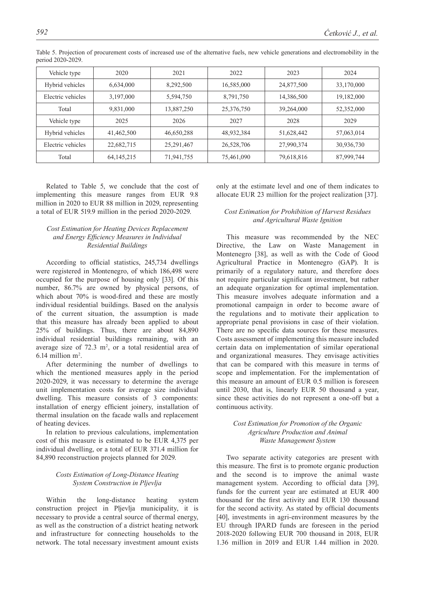| Vehicle type      | 2020         | 2021       | 2022       | 2023       | 2024       |
|-------------------|--------------|------------|------------|------------|------------|
| Hybrid vehicles   | 6,634,000    | 8,292,500  | 16,585,000 | 24,877,500 | 33,170,000 |
| Electric vehicles | 3,197,000    | 5,594,750  | 8,791,750  | 14,386,500 | 19,182,000 |
| Total             | 9,831,000    | 13,887,250 | 25,376,750 | 39,264,000 | 52,352,000 |
| Vehicle type      | 2025         | 2026       | 2027       | 2028       | 2029       |
| Hybrid vehicles   | 41,462,500   | 46,650,288 | 48,932,384 | 51,628,442 | 57,063,014 |
| Electric vehicles | 22,682,715   | 25,291,467 | 26,528,706 | 27,990,374 | 30,936,730 |
| Total             | 64, 145, 215 | 71,941,755 | 75,461,090 | 79,618,816 | 87,999,744 |

Table 5. Projection of procurement costs of increased use of the alternative fuels, new vehicle generations and electromobility in the period 2020-2029.

Related to Table 5, we conclude that the cost of implementing this measure ranges from EUR 9.8 million in 2020 to EUR 88 million in 2029, representing a total of EUR 519.9 million in the period 2020-2029.

## *Cost Estimation for Heating Devices Replacement and Energy Efficiency Measures in Individual Residential Buildings*

According to official statistics, 245,734 dwellings were registered in Montenegro, of which 186,498 were occupied for the purpose of housing only [33]. Of this number, 86.7% are owned by physical persons, of which about 70% is wood-fired and these are mostly individual residential buildings. Based on the analysis of the current situation, the assumption is made that this measure has already been applied to about 25% of buildings. Thus, there are about 84,890 individual residential buildings remaining, with an average size of  $72.3 \text{ m}^2$ , or a total residential area of  $6.14$  million m<sup>2</sup>.

After determining the number of dwellings to which the mentioned measures apply in the period 2020-2029, it was necessary to determine the average unit implementation costs for average size individual dwelling. This measure consists of 3 components: installation of energy efficient joinery, installation of thermal insulation on the facade walls and replacement of heating devices.

In relation to previous calculations, implementation cost of this measure is estimated to be EUR 4,375 per individual dwelling, or a total of EUR 371.4 million for 84,890 reconstruction projects planned for 2029.

## *Costs Estimation of Long-Distance Heating System Construction in Pljevlja*

Within the long-distance heating system construction project in Pljevlja municipality, it is necessary to provide a central source of thermal energy, as well as the construction of a district heating network and infrastructure for connecting households to the network. The total necessary investment amount exists only at the estimate level and one of them indicates to allocate EUR 23 million for the project realization [37].

### *Cost Estimation for Prohibition of Harvest Residues and Agricultural Waste Ignition*

This measure was recommended by the NEC Directive, the Law on Waste Management in Montenegro [38], as well as with the Code of Good Agricultural Practice in Montenegro (GAP). It is primarily of a regulatory nature, and therefore does not require particular significant investment, but rather an adequate organization for optimal implementation. This measure involves adequate information and a promotional campaign in order to become aware of the regulations and to motivate their application to appropriate penal provisions in case of their violation. There are no specific data sources for these measures. Costs assessment of implementing this measure included certain data on implementation of similar operational and organizational measures. They envisage activities that can be compared with this measure in terms of scope and implementation. For the implementation of this measure an amount of EUR 0.5 million is foreseen until 2030, that is, linearly EUR 50 thousand a year, since these activities do not represent a one-off but a continuous activity.

## *Cost Estimation for Promotion of the Organic Agriculture Production and Animal Waste Management System*

Two separate activity categories are present with this measure. The first is to promote organic production and the second is to improve the animal waste management system. According to official data [39], funds for the current year are estimated at EUR 400 thousand for the first activity and EUR 130 thousand for the second activity. As stated by official documents [40], investments in agri-environment measures by the EU through IPARD funds are foreseen in the period 2018-2020 following EUR 700 thousand in 2018, EUR 1.36 million in 2019 and EUR 1.44 million in 2020.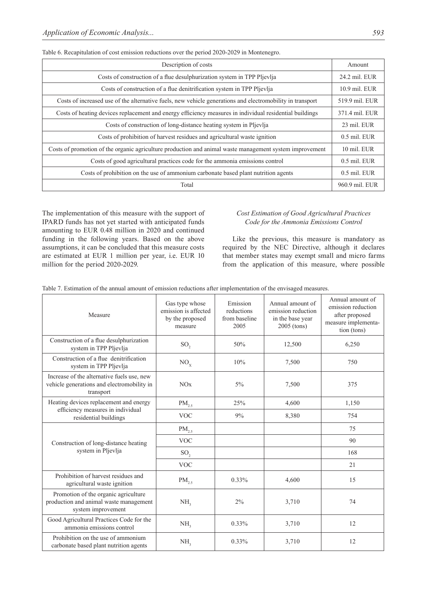| Description of costs                                                                                      | Amount         |
|-----------------------------------------------------------------------------------------------------------|----------------|
| Costs of construction of a flue desulphurization system in TPP Pljevlja                                   | 24.2 mil. EUR  |
| Costs of construction of a flue denitrification system in TPP Plievlia                                    | 10.9 mil. EUR  |
| Costs of increased use of the alternative fuels, new vehicle generations and electromobility in transport | 519.9 mil. EUR |
| Costs of heating devices replacement and energy efficiency measures in individual residential buildings   | 371.4 mil. EUR |
| Costs of construction of long-distance heating system in Pljevlja                                         | 23 mil. EUR    |
| Costs of prohibition of harvest residues and agricultural waste ignition                                  | 0.5 mil. EUR   |
| Costs of promotion of the organic agriculture production and animal waste management system improvement   | 10 mil. EUR    |
| Costs of good agricultural practices code for the ammonia emissions control                               | 0.5 mil. EUR   |
| Costs of prohibition on the use of ammonium carbonate based plant nutrition agents                        | $0.5$ mil. EUR |
| Total                                                                                                     | 960.9 mil. EUR |

Table 6. Recapitulation of cost emission reductions over the period 2020-2029 in Montenegro.

The implementation of this measure with the support of IPARD funds has not yet started with anticipated funds amounting to EUR 0.48 million in 2020 and continued funding in the following years. Based on the above assumptions, it can be concluded that this measure costs are estimated at EUR 1 million per year, i.e. EUR 10 million for the period 2020-2029.

#### *Cost Estimation of Good Agricultural Practices Code for the Ammonia Emissions Control*

Like the previous, this measure is mandatory as required by the NEC Directive, although it declares that member states may exempt small and micro farms from the application of this measure, where possible

|  | Table 7. Estimation of the annual amount of emission reductions after implementation of the envisaged measures. |  |  |  |  |
|--|-----------------------------------------------------------------------------------------------------------------|--|--|--|--|
|  |                                                                                                                 |  |  |  |  |

| Measure                                                                                               | Gas type whose<br>emission is affected<br>by the proposed<br>measure | Emission<br>reductions<br>from baseline<br>2005 | Annual amount of<br>emission reduction<br>in the base year<br>2005 (tons) | Annual amount of<br>emission reduction<br>after proposed<br>measure implementa-<br>tion (tons) |
|-------------------------------------------------------------------------------------------------------|----------------------------------------------------------------------|-------------------------------------------------|---------------------------------------------------------------------------|------------------------------------------------------------------------------------------------|
| Construction of a flue desulphurization<br>system in TPP Pljevlja                                     | SO <sub>2</sub>                                                      | 50%                                             | 12,500                                                                    | 6,250                                                                                          |
| Construction of a flue denitrification<br>system in TPP Pljevlja                                      | $NO_{x}$                                                             | 10%                                             | 7,500                                                                     | 750                                                                                            |
| Increase of the alternative fuels use, new<br>vehicle generations and electromobility in<br>transport | NOx                                                                  | $5\%$                                           | 7,500                                                                     | 375                                                                                            |
| Heating devices replacement and energy                                                                | $PM_{2.5}$                                                           | 25%                                             | 4,600                                                                     | 1,150                                                                                          |
| efficiency measures in individual<br>residential buildings                                            | <b>VOC</b>                                                           | 9%                                              | 8,380                                                                     | 754                                                                                            |
|                                                                                                       | $PM_{2.5}$                                                           |                                                 |                                                                           | 75                                                                                             |
| Construction of long-distance heating                                                                 | <b>VOC</b>                                                           |                                                 |                                                                           | 90                                                                                             |
| system in Pljevlja                                                                                    | SO <sub>2</sub>                                                      |                                                 |                                                                           | 168                                                                                            |
|                                                                                                       | <b>VOC</b>                                                           |                                                 |                                                                           | 21                                                                                             |
| Prohibition of harvest residues and<br>agricultural waste ignition                                    | $PM_{2.5}$                                                           | $0.33\%$                                        | 4,600                                                                     | 15                                                                                             |
| Promotion of the organic agriculture<br>production and animal waste management<br>system improvement  | NH <sub>3</sub>                                                      | 2%                                              | 3,710                                                                     | 74                                                                                             |
| Good Agricultural Practices Code for the<br>ammonia emissions control                                 | NH <sub>2</sub>                                                      | $0.33\%$                                        | 3,710                                                                     | 12                                                                                             |
| Prohibition on the use of ammonium<br>carbonate based plant nutrition agents                          | NH <sub>2</sub>                                                      | 0.33%                                           | 3,710                                                                     | 12                                                                                             |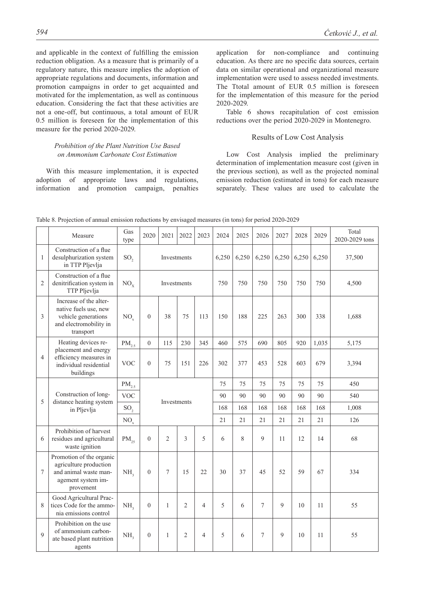and applicable in the context of fulfilling the emission reduction obligation. As a measure that is primarily of a regulatory nature, this measure implies the adoption of appropriate regulations and documents, information and promotion campaigns in order to get acquainted and motivated for the implementation, as well as continuous education. Considering the fact that these activities are not a one-off, but continuous, a total amount of EUR 0.5 million is foreseen for the implementation of this measure for the period 2020-2029.

#### *Prohibition of the Plant Nutrition Use Based on Ammonium Carbonate Cost Estimation*

With this measure implementation, it is expected adoption of appropriate laws and regulations, information and promotion campaign, penalties application for non-compliance and continuing education. As there are no specific data sources, certain data on similar operational and organizational measure implementation were used to assess needed investments. The Ttotal amount of EUR 0.5 million is foreseen for the implementation of this measure for the period 2020-2029.

Table 6 shows recapitulation of cost emission reductions over the period 2020-2029 in Montenegro.

#### Results of Low Cost Analysis

Low Cost Analysis implied the preliminary determination of implementation measure cost (given in the previous section), as well as the projected nominal emission reduction (estimated in tons) for each measure separately. These values are used to calculate the

|                | Measure                                                                                                        | Gas<br>type     | 2020           | 2021           | 2022           | 2023           | 2024  | 2025  | 2026  | 2027  | 2028  | 2029  | Total<br>2020-2029 tons |
|----------------|----------------------------------------------------------------------------------------------------------------|-----------------|----------------|----------------|----------------|----------------|-------|-------|-------|-------|-------|-------|-------------------------|
| $\mathbf{1}$   | Construction of a flue<br>desulphurization system<br>in TTP Pljevlja                                           | SO <sub>2</sub> |                |                | Investments    |                | 6,250 | 6,250 | 6,250 | 6,250 | 6,250 | 6,250 | 37,500                  |
| $\overline{2}$ | Construction of a flue<br>denitrification system in<br>TTP Pljevlja                                            | $NO_{v}$        |                | Investments    |                |                | 750   | 750   | 750   | 750   | 750   | 750   | 4,500                   |
| 3              | Increase of the alter-<br>native fuels use, new<br>vehicle generations<br>and electromobility in<br>transport  | NO <sub>v</sub> | $\overline{0}$ | 38             | 75             | 113            | 150   | 188   | 225   | 263   | 300   | 338   | 1,688                   |
|                | Heating devices re-                                                                                            | $PM_{2.5}$      | $\overline{0}$ | 115            | 230            | 345            | 460   | 575   | 690   | 805   | 920   | 1,035 | 5,175                   |
| 4              | placement and energy<br>efficiency measures in<br>individual residential<br>buildings                          | <b>VOC</b>      | $\theta$       | 75             | 151            | 226            | 302   | 377   | 453   | 528   | 603   | 679   | 3,394                   |
|                |                                                                                                                | $PM_{2.5}$      |                |                |                |                | 75    | 75    | 75    | 75    | 75    | 75    | 450                     |
|                | Construction of long-                                                                                          | <b>VOC</b>      |                |                |                |                | 90    | 90    | 90    | 90    | 90    | 90    | 540                     |
| 5              | distance heating system<br>in Pljevlja                                                                         | SO <sub>2</sub> |                |                | Investments    |                | 168   | 168   | 168   | 168   | 168   | 168   | 1,008                   |
|                |                                                                                                                | NO <sub>x</sub> |                |                |                |                | 21    | 21    | 21    | 21    | 21    | 21    | 126                     |
| 6              | Prohibition of harvest<br>residues and agricultural<br>waste ignition                                          | $PM_{25}$       | $\theta$       | $\overline{2}$ | $\mathcal{E}$  | 5              | 6     | 8     | 9     | 11    | 12    | 14    | 68                      |
| 7              | Promotion of the organic<br>agriculture production<br>and animal waste man-<br>agement system im-<br>provement | NH <sub>2</sub> | $\theta$       | 7              | 15             | 22             | 30    | 37    | 45    | 52    | 59    | 67    | 334                     |
| 8              | Good Agricultural Prac-<br>tices Code for the ammo-<br>nia emissions control                                   | NH <sub>2</sub> | $\overline{0}$ | 1              | $\overline{2}$ | $\overline{4}$ | 5     | 6     | 7     | 9     | 10    | 11    | 55                      |
| $\mathbf Q$    | Prohibition on the use<br>of ammonium carbon-<br>ate based plant nutrition<br>agents                           | NH <sub>2</sub> | $\mathbf{0}$   | $\mathbf{1}$   | $\overline{2}$ | $\overline{4}$ | 5     | 6     | 7     | 9     | 10    | 11    | 55                      |

Table 8. Projection of annual emission reductions by envisaged measures (in tons) for period 2020-2029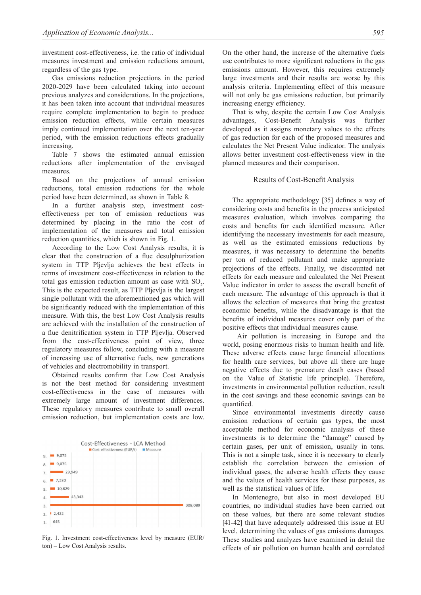investment cost-effectiveness, i.e. the ratio of individual measures investment and emission reductions amount, regardless of the gas type.

Gas emissions reduction projections in the period 2020-2029 have been calculated taking into account previous analyzes and considerations. In the projections, it has been taken into account that individual measures require complete implementation to begin to produce emission reduction effects, while certain measures imply continued implementation over the next ten-year period, with the emission reductions effects gradually increasing.

Table 7 shows the estimated annual emission reductions after implementation of the envisaged measures.

Based on the projections of annual emission reductions, total emission reductions for the whole period have been determined, as shown in Table 8.

In a further analysis step, investment costeffectiveness per ton of emission reductions was determined by placing in the ratio the cost of implementation of the measures and total emission reduction quantities, which is shown in Fig. 1.

According to the Low Cost Analysis results, it is clear that the construction of a flue desulphurization system in TTP Pljevlja achieves the best effects in terms of investment cost-effectiveness in relation to the total gas emission reduction amount as case with  $SO_2$ . This is the expected result, as TTP Pljevlja is the largest single pollutant with the aforementioned gas which will be significantly reduced with the implementation of this measure. With this, the best Low Cost Analysis results are achieved with the installation of the construction of a flue denitrification system in TTP Pljevlja. Observed from the cost-effectiveness point of view, three regulatory measures follow, concluding with a measure of increasing use of alternative fuels, new generations of vehicles and electromobility in transport.

Obtained results confirm that Low Cost Analysis is not the best method for considering investment cost-effectiveness in the case of measures with extremely large amount of investment differences. These regulatory measures contribute to small overall emission reduction, but implementation costs are low.



Fig. 1. Investment cost-effectiveness level by measure (EUR/ ton) – Low Cost Analysis results.

On the other hand, the increase of the alternative fuels use contributes to more significant reductions in the gas emissions amount. However, this requires extremely large investments and their results are worse by this analysis criteria. Implementing effect of this measure will not only be gas emissions reduction, but primarily increasing energy efficiency.

That is why, despite the certain Low Cost Analysis advantages, Cost-Benefit Analysis was further developed as it assigns monetary values to the effects of gas reduction for each of the proposed measures and calculates the Net Present Value indicator. The analysis allows better investment cost-effectiveness view in the planned measures and their comparison.

#### Results of Cost-Benefit Analysis

The appropriate methodology [35] defines a way of considering costs and benefits in the process anticipated measures evaluation, which involves comparing the costs and benefits for each identified measure. After identifying the necessary investments for each measure, as well as the estimated emissions reductions by measures, it was necessary to determine the benefits per ton of reduced pollutant and make appropriate projections of the effects. Finally, we discounted net effects for each measure and calculated the Net Present Value indicator in order to assess the overall benefit of each measure. The advantage of this approach is that it allows the selection of measures that bring the greatest economic benefits, while the disadvantage is that the benefits of individual measures cover only part of the positive effects that individual measures cause.

Air pollution is increasing in Europe and the world, posing enormous risks to human health and life. These adverse effects cause large financial allocations for health care services, but above all there are huge negative effects due to premature death cases (based on the Value of Statistic life principle). Therefore, investments in environmental pollution reduction, result in the cost savings and these economic savings can be quantified.

Since environmental investments directly cause emission reductions of certain gas types, the most acceptable method for economic analysis of these investments is to determine the "damage" caused by certain gases, per unit of emission, usually in tons. This is not a simple task, since it is necessary to clearly establish the correlation between the emission of individual gases, the adverse health effects they cause and the values of health services for these purposes, as well as the statistical values of life.

In Montenegro, but also in most developed EU countries, no individual studies have been carried out on these values, but there are some relevant studies [41-42] that have adequately addressed this issue at EU level, determining the values of gas emissions damages. These studies and analyzes have examined in detail the effects of air pollution on human health and correlated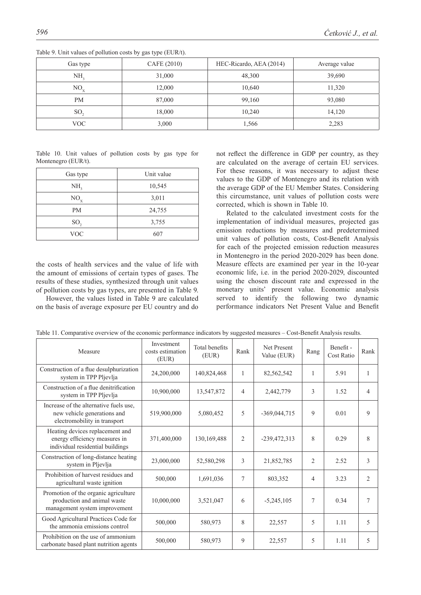| Gas type        | CAFE (2010) | HEC-Ricardo, AEA (2014) | Average value |
|-----------------|-------------|-------------------------|---------------|
| NH,             | 31,000      | 48,300                  | 39,690        |
| $NO_{v}$        | 12,000      | 10,640                  | 11,320        |
| <b>PM</b>       | 87,000      | 99,160                  | 93,080        |
| SO <sub>2</sub> | 18,000      | 10,240                  | 14,120        |
| VOC             | 3,000       | 1,566                   | 2,283         |

Table 9. Unit values of pollution costs by gas type (EUR/t).

Table 10. Unit values of pollution costs by gas type for Montenegro (EUR/t).

| Gas type        | Unit value |  |  |  |
|-----------------|------------|--|--|--|
| NH <sub>3</sub> | 10,545     |  |  |  |
| $NO_{x}$        | 3,011      |  |  |  |
| <b>PM</b>       | 24,755     |  |  |  |
| SO <sub>2</sub> | 3,755      |  |  |  |
| <b>VOC</b>      | 607        |  |  |  |

the costs of health services and the value of life with the amount of emissions of certain types of gases. The results of these studies, synthesized through unit values of pollution costs by gas types, are presented in Table 9.

However, the values listed in Table 9 are calculated on the basis of average exposure per EU country and do not reflect the difference in GDP per country, as they are calculated on the average of certain EU services. For these reasons, it was necessary to adjust these values to the GDP of Montenegro and its relation with the average GDP of the EU Member States. Considering this circumstance, unit values of pollution costs were corrected, which is shown in Table 10.

Related to the calculated investment costs for the implementation of individual measures, projected gas emission reductions by measures and predetermined unit values of pollution costs, Cost-Benefit Analysis for each of the projected emission reduction measures in Montenegro in the period 2020-2029 has been done. Measure effects are examined per year in the 10-year economic life, i.e. in the period 2020-2029, discounted using the chosen discount rate and expressed in the monetary units' present value. Economic analysis served to identify the following two dynamic performance indicators Net Present Value and Benefit

| Measure                                                                                               | Investment<br>costs estimation<br>(EUR) | <b>Total benefits</b><br>(EUR) | Rank           | <b>Net Present</b><br>Value (EUR) | Rang           | Benefit -<br>Cost Ratio | Rank           |
|-------------------------------------------------------------------------------------------------------|-----------------------------------------|--------------------------------|----------------|-----------------------------------|----------------|-------------------------|----------------|
| Construction of a flue desulphurization<br>system in TPP Pljevlja                                     | 24,200,000                              | 140,824,468                    | 1              | 82,562,542                        | 1              | 5.91                    | 1              |
| Construction of a flue denitrification<br>system in TPP Pljevlja                                      | 10,900,000                              | 13,547,872                     | 4              | 2,442,779                         | 3              | 1.52                    | $\overline{4}$ |
| Increase of the alternative fuels use,<br>new vehicle generations and<br>electromobility in transport | 519,900,000                             | 5,080,452                      | 5              | $-369,044,715$                    | 9              | 0.01                    | 9              |
| Heating devices replacement and<br>energy efficiency measures in<br>individual residential buildings  | 371,400,000                             | 130,169,488                    | $\overline{2}$ | $-239,472,313$                    | 8              | 0.29                    | 8              |
| Construction of long-distance heating<br>system in Pljevlja                                           | 23,000,000                              | 52,580,298                     | 3              | 21,852,785                        | $\overline{2}$ | 2.52                    | 3              |
| Prohibition of harvest residues and<br>agricultural waste ignition                                    | 500,000                                 | 1,691,036                      | 7              | 803,352                           | 4              | 3.23                    | $\overline{c}$ |
| Promotion of the organic agriculture<br>production and animal waste<br>management system improvement  | 10,000,000                              | 3,521,047                      | 6              | $-5,245,105$                      | 7              | 0.34                    | 7              |
| Good Agricultural Practices Code for<br>the ammonia emissions control                                 | 500,000                                 | 580,973                        | 8              | 22,557                            | 5              | 1.11                    | 5              |
| Prohibition on the use of ammonium<br>carbonate based plant nutrition agents                          | 500,000                                 | 580,973                        | 9              | 22,557                            | 5              | 1.11                    | 5              |

Table 11. Comparative overview of the economic performance indicators by suggested measures – Cost-Benefit Analysis results.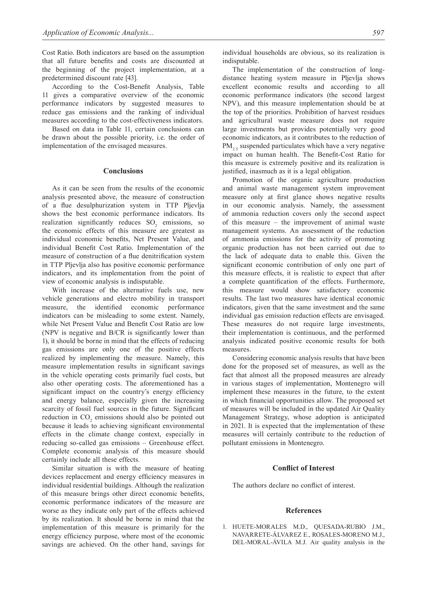Cost Ratio. Both indicators are based on the assumption that all future benefits and costs are discounted at the beginning of the project implementation, at a predetermined discount rate [43].

According to the Cost-Benefit Analysis, Table 11 gives a comparative overview of the economic performance indicators by suggested measures to reduce gas emissions and the ranking of individual measures according to the cost-effectiveness indicators.

Based on data in Table 11, certain conclusions can be drawn about the possible priority, i.e. the order of implementation of the envisaged measures.

#### **Conclusions**

As it can be seen from the results of the economic analysis presented above, the measure of construction of a flue desulphurization system in TTP Pljevlja shows the best economic performance indicators. Its realization significantly reduces  $SO_2$  emissions, so the economic effects of this measure are greatest as individual economic benefits, Net Present Value, and individual Benefit Cost Ratio. Implementation of the measure of construction of a flue denitrification system in TTP Pljevlja also has positive economic performance indicators, and its implementation from the point of view of economic analysis is indisputable.

With increase of the alternative fuels use, new vehicle generations and electro mobility in transport measure, the identified economic performance indicators can be misleading to some extent. Namely, while Net Present Value and Benefit Cost Ratio are low (NPV is negative and B/CR is significantly lower than 1), it should be borne in mind that the effects of reducing gas emissions are only one of the positive effects realized by implementing the measure. Namely, this measure implementation results in significant savings in the vehicle operating costs primarily fuel costs, but also other operating costs. The aforementioned has a significant impact on the country's energy efficiency and energy balance, especially given the increasing scarcity of fossil fuel sources in the future. Significant reduction in  $CO_2$  emissions should also be pointed out because it leads to achieving significant environmental effects in the climate change context, especially in reducing so-called gas emissions – Greenhouse effect. Complete economic analysis of this measure should certainly include all these effects.

Similar situation is with the measure of heating devices replacement and energy efficiency measures in individual residential buildings. Although the realization of this measure brings other direct economic benefits, economic performance indicators of the measure are worse as they indicate only part of the effects achieved by its realization. It should be borne in mind that the implementation of this measure is primarily for the energy efficiency purpose, where most of the economic savings are achieved. On the other hand, savings for

The implementation of the construction of longdistance heating system measure in Pljevlja shows excellent economic results and according to all economic performance indicators (the second largest NPV), and this measure implementation should be at the top of the priorities. Prohibition of harvest residues and agricultural waste measure does not require large investments but provides potentially very good economic indicators, as it contributes to the reduction of  $PM_{2.5}$  suspended particulates which have a very negative impact on human health. The Benefit-Cost Ratio for this measure is extremely positive and its realization is justified, inasmuch as it is a legal obligation.

Promotion of the organic agriculture production and animal waste management system improvement measure only at first glance shows negative results in our economic analysis. Namely, the assessment of ammonia reduction covers only the second aspect of this measure – the improvement of animal waste management systems. An assessment of the reduction of ammonia emissions for the activity of promoting organic production has not been carried out due to the lack of adequate data to enable this. Given the significant economic contribution of only one part of this measure effects, it is realistic to expect that after a complete quantification of the effects. Furthermore, this measure would show satisfactory economic results. The last two measures have identical economic indicators, given that the same investment and the same individual gas emission reduction effects are envisaged. These measures do not require large investments, their implementation is continuous, and the performed analysis indicated positive economic results for both measures.

Considering economic analysis results that have been done for the proposed set of measures, as well as the fact that almost all the proposed measures are already in various stages of implementation, Montenegro will implement these measures in the future, to the extent in which financial opportunities allow. The proposed set of measures will be included in the updated Air Quality Management Strategy, whose adoption is anticipated in 2021. It is expected that the implementation of these measures will certainly contribute to the reduction of pollutant emissions in Montenegro.

#### **Conflict of Interest**

The authors declare no conflict of interest.

#### **References**

1. HUETE-MORALES M.D., QUESADA-RUBIO J.M., NAVARRETE-ÁLVAREZ E., ROSALES-MORENO M.J., DEL-MORAL-ÁVILA M.J. Air quality analysis in the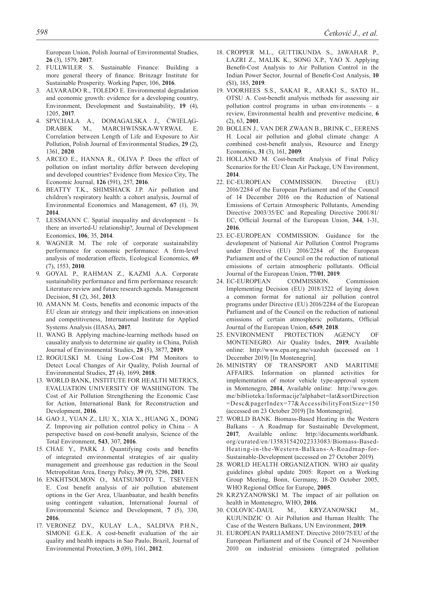European Union, Polish Journal of Environmental Studies, **26** (3), 1579, **2017**.

- 2. FULLWILER S. Sustainable Finance: Building a more general theory of finance. Brinzagr Institute for Sustainable Prosperity. Working Paper, 106, **2016**.
- 3. ALVARADO R., TOLEDO E. Environmental degradation and economic growth: evidence for a developing country, Environment, Development and Sustainability, **19** (4), 1205, **2017**.
- 4. SPYCHAŁA A., DOMAGALSKA J., ĆWIELĄG-DRABEK M., MARCHWIŃSKA-WYRWAŁ E. Correlation between Length of Life and Exposure to Air Pollution, Polish Journal of Environmental Studies, **29** (2), 1361, **2020**.
- 5. ARCEO E., HANNA R., OLIVA P. Does the effect of pollution on infant mortality differ between developing and developed countries? Evidence from Mexico City, The Economic Journal, **126** (591), 257, **2016**.
- 6. BEATTY T.K., SHIMSHACK J.P. Air pollution and children's respiratory health: a cohort analysis, Journal of Environmental Economics and Management, **67** (1), 39, **2014**.
- 7. LESSMANN C. Spatial inequality and development Is there an inverted-U relationship?, Journal of Development Economics, **106**, 35, **2014**.
- 8. WAGNER M. The role of corporate sustainability performance for economic performance: A firm-level analysis of moderation effects, Ecological Economics, **69** (7), 1553, **2010**.
- 9. GOYAL P., RAHMAN Z., KAZMI A.A. Corporate sustainability performance and firm performance research: Literature review and future research agenda. Management Decision, **51** (2), 361, **2013**.
- 10. AMANN M. Costs, benefits and economic impacts of the EU clean air strategy and their implications on innovation and competitiveness, International Institute for Applied Systems Analysis (IIASA), **2017**.
- 11. WANG B. Applying machine-learning methods based on causality analysis to determine air quality in China, Polish Journal of Environmental Studies, **28** (5), 3877, **2019**.
- 12. ROGULSKI M. Using Low-Cost PM Monitors to Detect Local Changes of Air Quality, Polish Journal of Environmental Studies, **27** (4), 1699, **2018**.
- 13. WORLD BANK, INSTITUTE FOR HEALTH METRICS, EVALUATION UNIVERSITY OF WASHINGTON. The Cost of Air Pollution Strengthening the Economic Case for Action, International Bank for Reconstruction and Development, **2016**.
- 14. GAO J., YUAN Z., LIU X., XIA X., HUANG X., DONG Z. Improving air pollution control policy in China – A perspective based on cost-benefit analysis, Science of the Total Environment, **543**, 307, **2016**.
- 15. CHAE Y., PARK J. Quantifying costs and benefits of integrated environmental strategies of air quality management and greenhouse gas reduction in the Seoul Metropolitan Area, Energy Policy, **39** (9), 5296, **2011**.
- 16. ENKHTSOLMON O., MATSUMOTO T., TSEVEEN E. Cost benefit analysis of air pollution abatement options in the Ger Area, Ulaanbaatar, and health benefits using contingent valuation, International Journal of Environmental Science and Development, **7** (5), 330, **2016**.
- 17. VERONEZ D.V., KULAY L.A., SALDIVA P.H.N., SIMONE G.E.K. A cost-benefit evaluation of the air quality and health impacts in Sao Paulo, Brazil, Journal of Environmental Protection, **3** (09), 1161, **2012**.
- 18. CROPPER M.L., GUTTIKUNDA S., JAWAHAR P., LAZRI Z., MALIK K., SONG X.P., YAO X. Applying Benefit-Cost Analysis to Air Pollution Control in the Indian Power Sector, Journal of Benefit-Cost Analysis, **10** (S1), 185, **2019**.
- 19. VOORHEES S.S., SAKAI R., ARAKI S., SATO H., OTSU A. Cost-benefit analysis methods for assessing air pollution control programs in urban environments – a review, Environmental health and preventive medicine, **6** (2), 63, **2001**.
- 20. BOLLEN J., VAN DER ZWAAN B., BRINK C., EERENS H. Local air pollution and global climate change: A combined cost-benefit analysis, Resource and Energy Economics, **31** (3), 161, **2009**.
- 21. HOLLAND M. Cost-benefit Analysis of Final Policy Scenarios for the EU Clean Air Package, UN Environment, **2014**.
- 22. EC-EUROPEAN COMMISSION. Directive (EU) 2016/2284 of the European Parliament and of the Council of 14 December 2016 on the Reduction of National Emissions of Certain Atmospheric Pollutants, Amending Directive 2003/35/EC and Repealing Directive 2001/81/ EC, Official Journal of the European Union, **344**, 1-31, **2016**.
- 23. EC-EUROPEAN COMMISSION. Guidance for the development of National Air Pollution Control Programs under Directive (EU) 2016/2284 of the European Parliament and of the Council on the reduction of national emissions of certain atmospheric pollutants. Official Journal of the European Union, **77/01**, **2019**.
- 24. EC-EUROPEAN COMMISSION. Commission Implementing Decision (EU) 2018/1522 of laying down a common format for national air pollution control programs under Directive (EU) 2016/2284 of the European Parliament and of the Council on the reduction of national emissions of certain atmospheric pollutants, Official Journal of the European Union, **6549**, **2018**.
- 25. ENVIRONMENT PROTECTION AGENCY OF MONTENEGRO. Air Quality Index, **2019**, Available online: http://www.epa.org.me/vazduh (accessed on 1 December 2019) [In Montenegrin].
- 26. MINISTRY OF TRANSPORT AND MARITIME AFFAIRS. Information on planned activities for implementation of motor vehicle type-approval system in Montenegro, **2014**, Available online: http://www.gov. me/biblioteka/Informacije?alphabet=lat&sortDirection =Desc&pagerIndex=77&AccessibilityFontSize=150 (accessed on 23 October 2019) [In Montenegrin].
- 27. WORLD BANK. Biomass-Based Heating in the Western Balkans – A Roadmap for Sustainable Development, **2017**, Available online: http://documents.worldbank. org/curated/en/135831542022333083/Biomass-Based-Heating-in-the-Wester n-Balkans-A-Roadmap-for-Sustainable-Development (accessed on 27 October 2019).
- 28. WORLD HEALTH ORGANIZATION. WHO air quality guidelines global update 2005: Report on a Working Group Meeting, Bonn, Germany, 18-20 October 2005, WHO Regional Office for Europe, **2005**.
- 29. KRZYZANOWSKI M. The impact of air pollution on health in Montenegro, WHO, **2016**.
- 30. COLOVIC-DAUL M., KRYZANOWSKI M., KUJUNDZIC O. Air Pollution and Human Health: The Case of the Western Balkans, UN Environment, **2019**.
- 31. EUROPEAN PARLIAMENT. Directive 2010/75/EU of the European Parliament and of the Council of 24 November 2010 on industrial emissions (integrated pollution